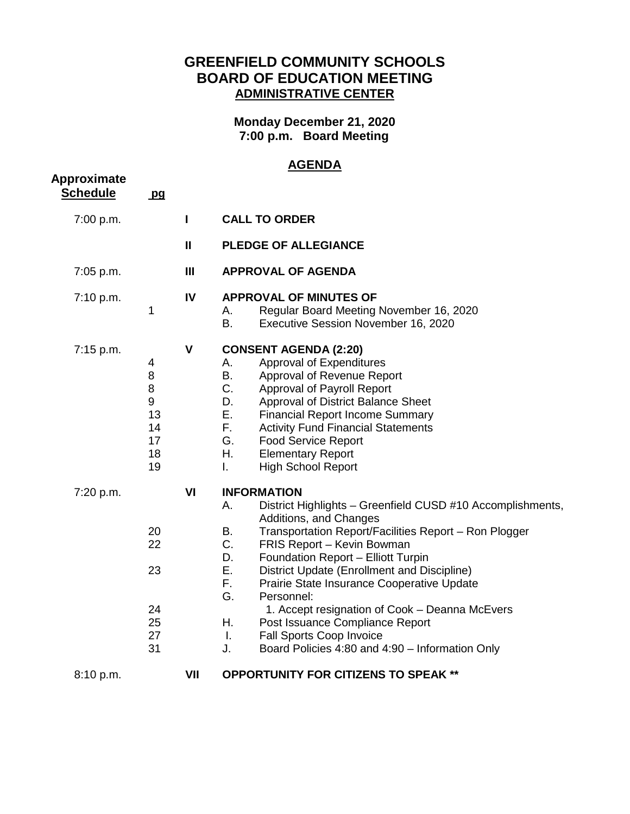## **GREENFIELD COMMUNITY SCHOOLS BOARD OF EDUCATION MEETING ADMINISTRATIVE CENTER**

**Monday December 21, 2020 7:00 p.m. Board Meeting**

## **AGENDA**

| Approximate     | <u>AGLIVUA</u>                                 |              |                                                                                                                                                                                                                                                                                                                                                                                                                                                                                                                                                                                              |  |  |
|-----------------|------------------------------------------------|--------------|----------------------------------------------------------------------------------------------------------------------------------------------------------------------------------------------------------------------------------------------------------------------------------------------------------------------------------------------------------------------------------------------------------------------------------------------------------------------------------------------------------------------------------------------------------------------------------------------|--|--|
| <b>Schedule</b> | pq                                             |              |                                                                                                                                                                                                                                                                                                                                                                                                                                                                                                                                                                                              |  |  |
| 7:00 p.m.       |                                                | L            | <b>CALL TO ORDER</b>                                                                                                                                                                                                                                                                                                                                                                                                                                                                                                                                                                         |  |  |
|                 |                                                | $\mathbf{I}$ | <b>PLEDGE OF ALLEGIANCE</b>                                                                                                                                                                                                                                                                                                                                                                                                                                                                                                                                                                  |  |  |
| 7:05 p.m.       |                                                | Ш            | <b>APPROVAL OF AGENDA</b>                                                                                                                                                                                                                                                                                                                                                                                                                                                                                                                                                                    |  |  |
| 7:10 p.m.       | 1                                              | IV           | <b>APPROVAL OF MINUTES OF</b><br>Α.<br>Regular Board Meeting November 16, 2020<br>В.<br>Executive Session November 16, 2020                                                                                                                                                                                                                                                                                                                                                                                                                                                                  |  |  |
| 7:15 p.m.       | 4<br>8<br>8<br>9<br>13<br>14<br>17<br>18<br>19 | V            | <b>CONSENT AGENDA (2:20)</b><br>Approval of Expenditures<br>А.<br>В.<br>Approval of Revenue Report<br>C.<br>Approval of Payroll Report<br>D.<br>Approval of District Balance Sheet<br>Е.<br><b>Financial Report Income Summary</b><br>F.<br><b>Activity Fund Financial Statements</b><br>G.<br><b>Food Service Report</b><br>Η.<br><b>Elementary Report</b><br><b>High School Report</b><br>$\mathbf{L}$                                                                                                                                                                                     |  |  |
| 7:20 p.m.       | 20<br>22<br>23<br>24<br>25<br>27<br>31         | VI           | <b>INFORMATION</b><br>District Highlights - Greenfield CUSD #10 Accomplishments,<br>Α.<br>Additions, and Changes<br>В.<br>Transportation Report/Facilities Report - Ron Plogger<br>C.<br>FRIS Report - Kevin Bowman<br>D.<br>Foundation Report - Elliott Turpin<br>Ε.<br>District Update (Enrollment and Discipline)<br>F.<br>Prairie State Insurance Cooperative Update<br>G.<br>Personnel:<br>1. Accept resignation of Cook - Deanna McEvers<br>Η.<br>Post Issuance Compliance Report<br>Fall Sports Coop Invoice<br>$\mathbf{L}$<br>J.<br>Board Policies 4:80 and 4:90 - Information Only |  |  |
| 8:10 p.m.       |                                                | VII          | <b>OPPORTUNITY FOR CITIZENS TO SPEAK **</b>                                                                                                                                                                                                                                                                                                                                                                                                                                                                                                                                                  |  |  |